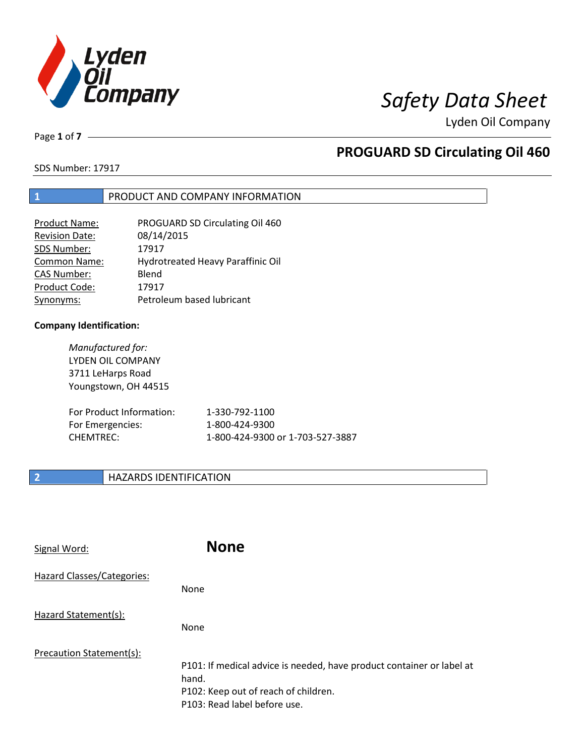

Page **1** of **7**

# **PROGUARD SD Circulating Oil 460**

SDS Number: 17917

## **1** PRODUCT AND COMPANY INFORMATION

| <b>Product Name:</b>  | PROGUARD SD Circulating Oil 460   |
|-----------------------|-----------------------------------|
| <b>Revision Date:</b> | 08/14/2015                        |
| SDS Number:           | 17917                             |
| <b>Common Name:</b>   | Hydrotreated Heavy Paraffinic Oil |
| <b>CAS Number:</b>    | Blend                             |
| Product Code:         | 17917                             |
| Synonyms:             | Petroleum based lubricant         |

### **Company Identification:**

*Manufactured for:* LYDEN OIL COMPANY 3711 LeHarps Road Youngstown, OH 44515

| For Product Information: | 1-330-792-1100                   |
|--------------------------|----------------------------------|
| For Emergencies:         | 1-800-424-9300                   |
| CHEMTREC:                | 1-800-424-9300 or 1-703-527-3887 |

## **2 HAZARDS IDENTIFICATION**

| Signal Word:               | <b>None</b>                                                                                                                                            |
|----------------------------|--------------------------------------------------------------------------------------------------------------------------------------------------------|
| Hazard Classes/Categories: | <b>None</b>                                                                                                                                            |
| Hazard Statement(s):       | <b>None</b>                                                                                                                                            |
| Precaution Statement(s):   | P101: If medical advice is needed, have product container or label at<br>hand.<br>P102: Keep out of reach of children.<br>P103: Read label before use. |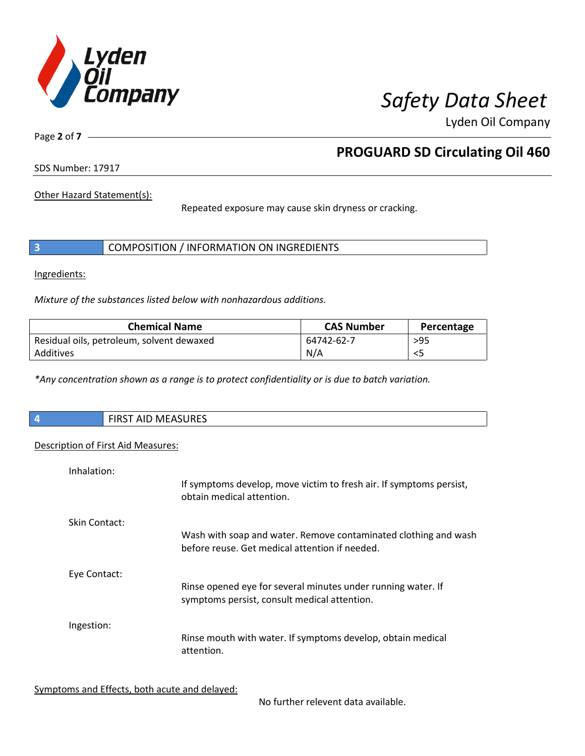

Page **2** of **7**

# **PROGUARD SD Circulating Oil 460**

SDS Number: 17917

Other Hazard Statement(s):

Repeated exposure may cause skin dryness or cracking.

|  | COMPOSITION / INFORMATION ON INGREDIENTS |  |
|--|------------------------------------------|--|
|--|------------------------------------------|--|

Ingredients:

*Mixture of the substances listed below with nonhazardous additions.*

| <b>Chemical Name</b>                      | <b>CAS Number</b> | Percentage |
|-------------------------------------------|-------------------|------------|
| Residual oils, petroleum, solvent dewaxed | 64742-62-7        | $>95$      |
| Additives                                 | N/A               |            |

*\*Any concentration shown as a range is to protect confidentiality or is due to batch variation.*

| $\overline{4}$ | $A = A C110C$<br>$\sim$ $\sim$<br>MEASURES ו <i>הה</i><br>כחו־ |
|----------------|----------------------------------------------------------------|
|                |                                                                |

## Description of First Aid Measures:

| Inhalation:   | If symptoms develop, move victim to fresh air. If symptoms persist,<br>obtain medical attention.                  |
|---------------|-------------------------------------------------------------------------------------------------------------------|
| Skin Contact: | Wash with soap and water. Remove contaminated clothing and wash<br>before reuse. Get medical attention if needed. |
| Eye Contact:  | Rinse opened eye for several minutes under running water. If<br>symptoms persist, consult medical attention.      |
| Ingestion:    | Rinse mouth with water. If symptoms develop, obtain medical<br>attention.                                         |

Symptoms and Effects, both acute and delayed:

No further relevent data available.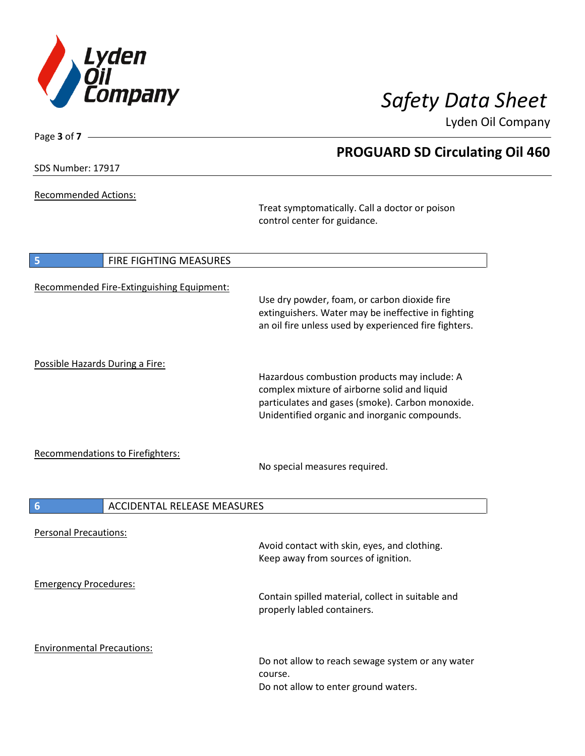

**PROGUARD SD Circulating Oil 460**

Lyden Oil Company

SDS Number: 17917

Page **3** of **7**

Recommended Actions:

Treat symptomatically. Call a doctor or poison control center for guidance.

| $\vert$ 5                         | <b>FIRE FIGHTING MEASURES</b>             |                                                                                                                                                                                                   |
|-----------------------------------|-------------------------------------------|---------------------------------------------------------------------------------------------------------------------------------------------------------------------------------------------------|
|                                   | Recommended Fire-Extinguishing Equipment: | Use dry powder, foam, or carbon dioxide fire<br>extinguishers. Water may be ineffective in fighting<br>an oil fire unless used by experienced fire fighters.                                      |
| Possible Hazards During a Fire:   |                                           | Hazardous combustion products may include: A<br>complex mixture of airborne solid and liquid<br>particulates and gases (smoke). Carbon monoxide.<br>Unidentified organic and inorganic compounds. |
|                                   | Recommendations to Firefighters:          | No special measures required.                                                                                                                                                                     |
| 6                                 | <b>ACCIDENTAL RELEASE MEASURES</b>        |                                                                                                                                                                                                   |
| <b>Personal Precautions:</b>      |                                           | Avoid contact with skin, eyes, and clothing.<br>Keep away from sources of ignition.                                                                                                               |
| <b>Emergency Procedures:</b>      |                                           | Contain spilled material, collect in suitable and<br>properly labled containers.                                                                                                                  |
| <b>Environmental Precautions:</b> |                                           | Do not allow to reach sewage system or any water<br>course.<br>Do not allow to enter ground waters.                                                                                               |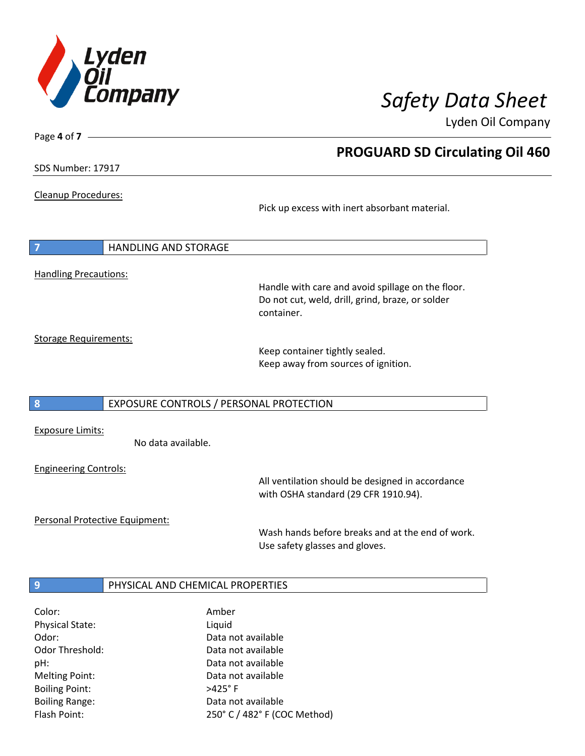

Page **4** of **7**

# **PROGUARD SD Circulating Oil 460**

SDS Number: 17917

Cleanup Procedures:

Pick up excess with inert absorbant material.

| 7                            | <b>HANDLING AND STORAGE</b>             |                                                                                                                     |
|------------------------------|-----------------------------------------|---------------------------------------------------------------------------------------------------------------------|
| <b>Handling Precautions:</b> |                                         | Handle with care and avoid spillage on the floor.<br>Do not cut, weld, drill, grind, braze, or solder<br>container. |
| <b>Storage Requirements:</b> |                                         | Keep container tightly sealed.<br>Keep away from sources of ignition.                                               |
| 8                            | EXPOSURE CONTROLS / PERSONAL PROTECTION |                                                                                                                     |

Exposure Limits:

No data available.

Engineering Controls:

All ventilation should be designed in accordance with OSHA standard (29 CFR 1910.94).

Personal Protective Equipment:

Wash hands before breaks and at the end of work. Use safety glasses and gloves.

## **9 PHYSICAL AND CHEMICAL PROPERTIES**

| Amber                        |
|------------------------------|
| Liquid                       |
| Data not available           |
| Data not available           |
| Data not available           |
| Data not available           |
| $>425^\circ$ F               |
| Data not available           |
| 250° C / 482° F (COC Method) |
|                              |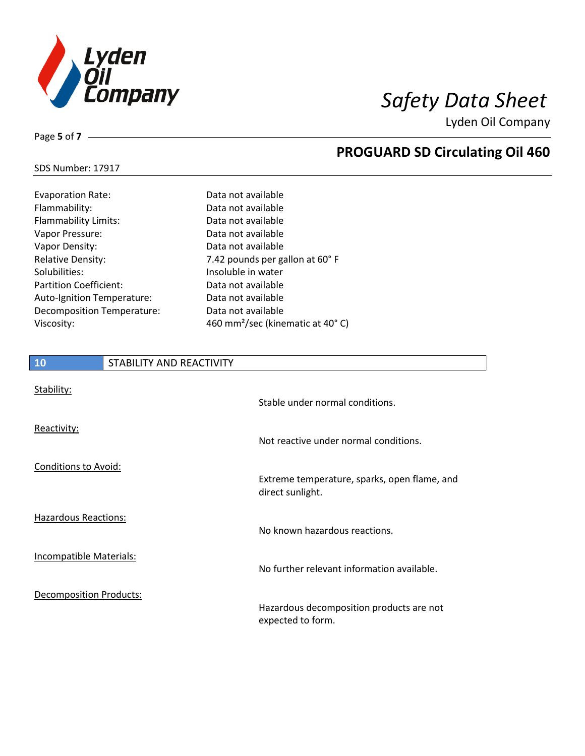

**PROGUARD SD Circulating Oil 460**

Lyden Oil Company

## SDS Number: 17917

Page **5** of **7**

| <b>Evaporation Rate:</b>      | Data not available                           |
|-------------------------------|----------------------------------------------|
| Flammability:                 | Data not available                           |
| Flammability Limits:          | Data not available                           |
| Vapor Pressure:               | Data not available                           |
| Vapor Density:                | Data not available                           |
| <b>Relative Density:</b>      | 7.42 pounds per gallon at 60° F              |
| Solubilities:                 | Insoluble in water                           |
| <b>Partition Coefficient:</b> | Data not available                           |
| Auto-Ignition Temperature:    | Data not available                           |
| Decomposition Temperature:    | Data not available                           |
| Viscosity:                    | 460 mm <sup>2</sup> /sec (kinematic at 40°C) |

# **10** STABILITY AND REACTIVITY Stability:

| Juuliity.                      | Stable under normal conditions.                                  |
|--------------------------------|------------------------------------------------------------------|
| Reactivity:                    | Not reactive under normal conditions.                            |
| <b>Conditions to Avoid:</b>    | Extreme temperature, sparks, open flame, and<br>direct sunlight. |
| Hazardous Reactions:           | No known hazardous reactions.                                    |
| Incompatible Materials:        | No further relevant information available.                       |
| <b>Decomposition Products:</b> | Hazardous decomposition products are not<br>expected to form.    |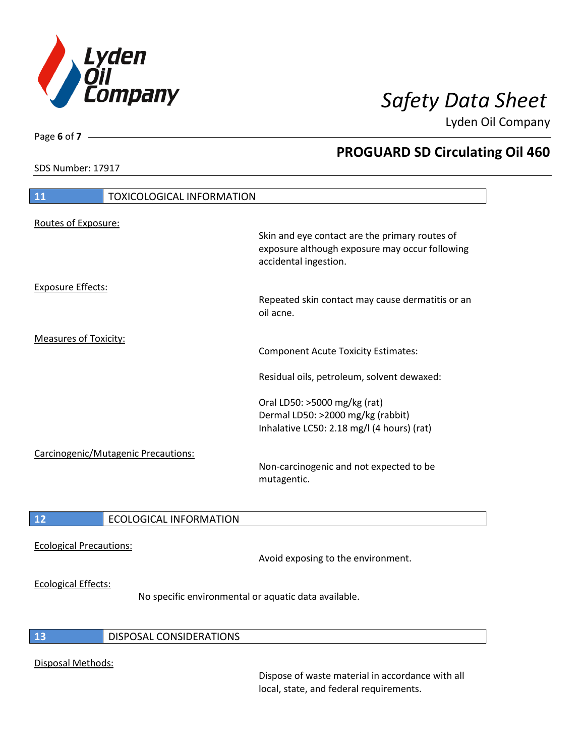

SDS Number: 17917

Page **6** of **7**

# **PROGUARD SD Circulating Oil 460**

| 11                                  | <b>TOXICOLOGICAL INFORMATION</b> |                                                                                                                           |
|-------------------------------------|----------------------------------|---------------------------------------------------------------------------------------------------------------------------|
| Routes of Exposure:                 |                                  | Skin and eye contact are the primary routes of<br>exposure although exposure may occur following<br>accidental ingestion. |
| <b>Exposure Effects:</b>            |                                  | Repeated skin contact may cause dermatitis or an<br>oil acne.                                                             |
| <b>Measures of Toxicity:</b>        |                                  | <b>Component Acute Toxicity Estimates:</b>                                                                                |
|                                     |                                  | Residual oils, petroleum, solvent dewaxed:                                                                                |
|                                     |                                  | Oral LD50: >5000 mg/kg (rat)<br>Dermal LD50: >2000 mg/kg (rabbit)<br>Inhalative LC50: 2.18 mg/l (4 hours) (rat)           |
| Carcinogenic/Mutagenic Precautions: |                                  | Non-carcinogenic and not expected to be<br>mutagentic.                                                                    |
| <b>12</b>                           | <b>ECOLOGICAL INFORMATION</b>    |                                                                                                                           |

Ecological Precautions:

Avoid exposing to the environment.

## Ecological Effects:

No specific environmental or aquatic data available.

## **13** DISPOSAL CONSIDERATIONS

## Disposal Methods:

Dispose of waste material in accordance with all local, state, and federal requirements.